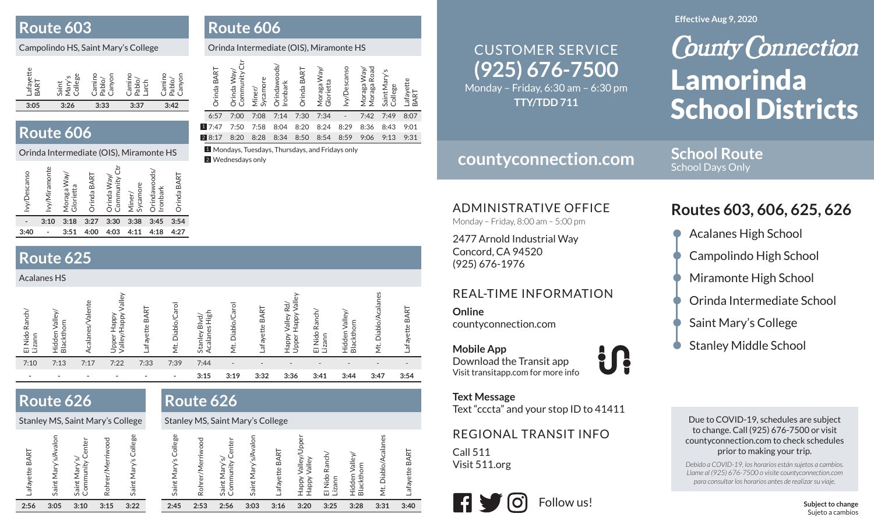### **Route 603**

### Campolindo HS, Saint Mary's College

## **Route 606** 8:20 8:29 8:20 8:24 8:29 8:24 8:29 8:36 8:34 8:30 8:43 7:30 8:34 8:20 8:24 8:27 8:30 8:43 7:31

### Orinda Intermediate (OIS), Miramonte HS

| vy/Descanso | vy/Miramonte | Way/<br>Glorietta<br>raga<br>$\frac{5}{2}$ | rinda BART | rinda Way,<br>nity<br>Commu | Sycamore<br>Miner/ | rindawoods/<br><b>Ironbark</b> | Orinda BART |
|-------------|--------------|--------------------------------------------|------------|-----------------------------|--------------------|--------------------------------|-------------|
|             | 3:10         | 3:18                                       | 3:27       | 3:30                        | 3:38               | 3:45                           | 3:54        |
| 3:40        |              | 3:51                                       | 4:00       | 4:03                        | 4:11               | 4:18                           | 4:27        |
|             |              |                                            |            |                             |                    |                                |             |

# **Route 625**

| <b>Acalanes HS</b>            |                                            |                    |                                                              |                          |                          |                                           |                        |                   |                                                           |                                                            |                               |                                      |                    |
|-------------------------------|--------------------------------------------|--------------------|--------------------------------------------------------------|--------------------------|--------------------------|-------------------------------------------|------------------------|-------------------|-----------------------------------------------------------|------------------------------------------------------------|-------------------------------|--------------------------------------|--------------------|
| Ranch/<br>Nido<br>Lizann<br>靣 | valle <sup>v</sup><br>Blackthorn<br>Hidden | alente<br>Acalanes | jlle/<br><b>Adde<sub>t</sub></b><br>Ydde<br>Upper<br>Valley/ | Lafayette BART           | Diablo/Caro<br>Ë         | 사<br>도<br>ड़े<br>ᇰ<br>Acalanes<br>Stanley | Caro<br>Diablo/<br>ΣÏ, | BART<br>Lafayette | $\overline{5}$<br>R.<br>Valley<br>Happy<br>Happy<br>Upper | <b>Ranch/</b><br>Nido<br>Lizann<br>$\overline{\mathbf{u}}$ | /alley<br>Blackthor<br>Hidden | ie<br>Te<br>Diablo <sub>/</sub><br>Ż | 'n<br>afayette BAI |
| 7:10                          | 7:13                                       | 7:17               | 7:22                                                         | 7:33                     | 7:39                     | 7:44                                      | $\qquad \qquad$        |                   |                                                           |                                                            |                               |                                      |                    |
|                               |                                            |                    |                                                              | $\overline{\phantom{a}}$ | $\overline{\phantom{a}}$ | 3:15                                      | 3:19                   | 3:32              | 3:36                                                      | 3:41                                                       | 3:44                          | 3:47                                 | 3:54               |

**Route 606**

Orinda BART

Orinda BART

1

Orinda Way/ Community Ctr

Orinda Way/<br>Community Ctr

2 Wednesdays only

Miner/ Sycamore

Orinda Intermediate (OIS), Miramonte HS

Orinda BART

Orinda BART

Moraga Way/ Glorietta

Moraga Way/<br>Glorietta

6:57 7:00 7:08 7:14 7:30 7:34 - 7:42 7:49 8:077:47 7:50 7:58 8:04 8:20 8:24 8:29 8:36 8:43 9:01

Ivy/Descanso

lvy/Descansc

Moraga Way/ Moraga Road Saint Mary's Saint Mary's<br>College

Moraga Way/<br>Moraga Road

Lafayette BART

Orindawoods/ Orindawoods/<br>Ironbark

1 Mondays, Tuesdays, Thursdays, and Fridays only

**Route 626**

# **Route 626**

#### Stanley MS, Saint Mary's College Stanley MS, Saint Mary's College

| BART      | ပ             | Center<br>S |        | College<br>$\sim$ | College<br>. U |      | Center<br>৯     | ole   | ART      |            | ᅙ                   |                   | ज़           | ╦        |
|-----------|---------------|-------------|--------|-------------------|----------------|------|-----------------|-------|----------|------------|---------------------|-------------------|--------------|----------|
| .afayette | $\frac{1}{2}$ |             | è      | ăΣ                | 흐              |      | nunit<br>ಸ<br>Σ | λă    | m        | हैं है     | æ                   | ᆕ                 | Diablo,      | œ        |
|           | Saint         | Saint       | Rohrer | Saint             | Saint          | Rohr | Saint<br>Comr   | Saint | afayette | lapp)<br>ä | Nido<br>.izann<br>靣 | Hidden<br>Blackth | $\ddot{\Xi}$ | afayette |
| 2:56      | 3:05          | 3:10        | 3:15   | 3:22              | 2:45           | 2:53 | 2:56            | 3:03  | 3:16     | 3:20       | 3:25                | 3:28              | 3:31         | 3:40     |

# **(925) 676-7500** CUSTOMER SERVICE

Monday – Friday, 6:30 am – 6:30 pm **TTY/TDD 711**

# **countyconnection.com**

**School Route**School Days Only

ADMINISTRATIVE OFFICE

Monday – Friday, 8:00 am – 5:00 pm

2477 Arnold Industrial Way Concord, CA 94520 (925) 676-1976

### REAL-TIME INFORMATION

**Online**countyconnection.com

**Mobile App** Download the Transit app Visit transitapp.com for more info

**Text Message**

Text "cccta" and your stop ID to 41411

### REGIONAL TRANSIT INFO

Call 511Visit 511.org



#### **Effective Aug 9, 2020**

# **County Connection** Lamorinda School Districts

# **Routes 603, 606, 625, 626**

- Acalanes High School
- Campolindo High School
- Miramonte High School
- Orinda Intermediate School
- Saint Mary's College
- **Stanley Middle School**

Due to COVID-19, schedules are subject to change. Call (925) 676-7500 or visit countyconnection.com to check schedules prior to making your trip.

*Debido a COVID-19, los horarios están sujetos a cambios. Llame al (925) 676-7500 o visite countyconnection.com para consultar los horarios antes de realizar su viaje.*

> **Subject to change** Sujeto a cambios